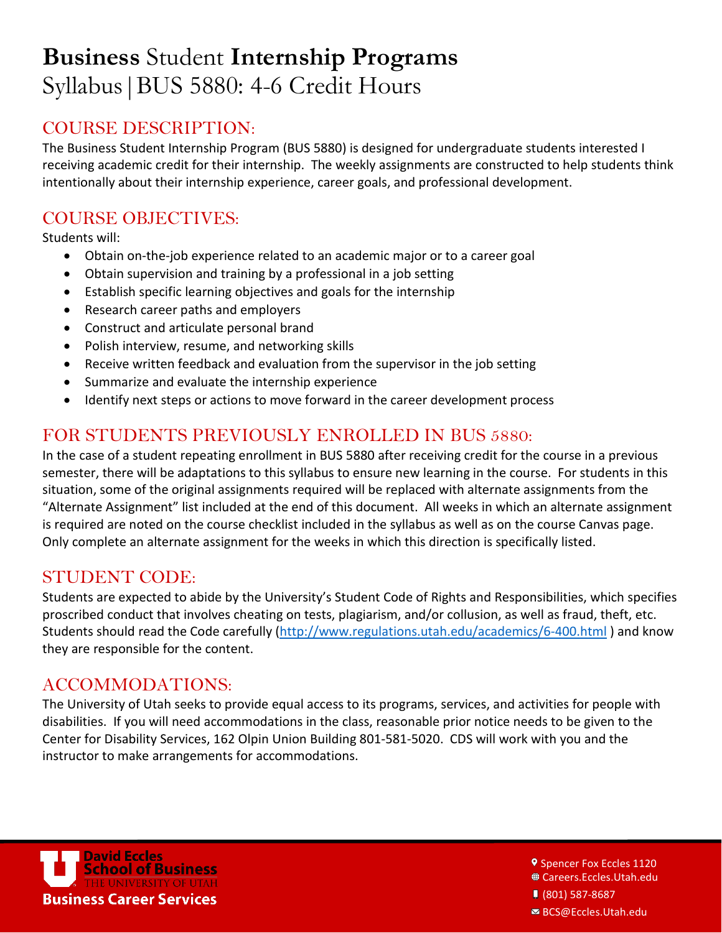# COURSE DESCRIPTION:

The Business Student Internship Program (BUS 5880) is designed for undergraduate students interested I receiving academic credit for their internship. The weekly assignments are constructed to help students think intentionally about their internship experience, career goals, and professional development.

# COURSE OBJECTIVES:

Students will:

- Obtain on-the-job experience related to an academic major or to a career goal
- Obtain supervision and training by a professional in a job setting
- Establish specific learning objectives and goals for the internship
- Research career paths and employers
- Construct and articulate personal brand
- Polish interview, resume, and networking skills
- Receive written feedback and evaluation from the supervisor in the job setting
- Summarize and evaluate the internship experience
- Identify next steps or actions to move forward in the career development process

# FOR STUDENTS PREVIOUSLY ENROLLED IN BUS 5880:

In the case of a student repeating enrollment in BUS 5880 after receiving credit for the course in a previous semester, there will be adaptations to this syllabus to ensure new learning in the course. For students in this situation, some of the original assignments required will be replaced with alternate assignments from the "Alternate Assignment" list included at the end of this document. All weeks in which an alternate assignment is required are noted on the course checklist included in the syllabus as well as on the course Canvas page. Only complete an alternate assignment for the weeks in which this direction is specifically listed.

## STUDENT CODE:

Students are expected to abide by the University's Student Code of Rights and Responsibilities, which specifies proscribed conduct that involves cheating on tests, plagiarism, and/or collusion, as well as fraud, theft, etc. Students should read the Code carefully [\(http://www.regulations.utah.edu/academics/6-400.html](http://www.regulations.utah.edu/academics/6-400.html) ) and know they are responsible for the content.

## ACCOMMODATIONS:

The University of Utah seeks to provide equal access to its programs, services, and activities for people with disabilities. If you will need accommodations in the class, reasonable prior notice needs to be given to the Center for Disability Services, 162 Olpin Union Building 801-581-5020. CDS will work with you and the instructor to make arrangements for accommodations.



**9 Spencer Fox Eccles 1120** Careers.Eccles.Utah.edu (801) 587-8687

BCS@Eccles.Utah.edu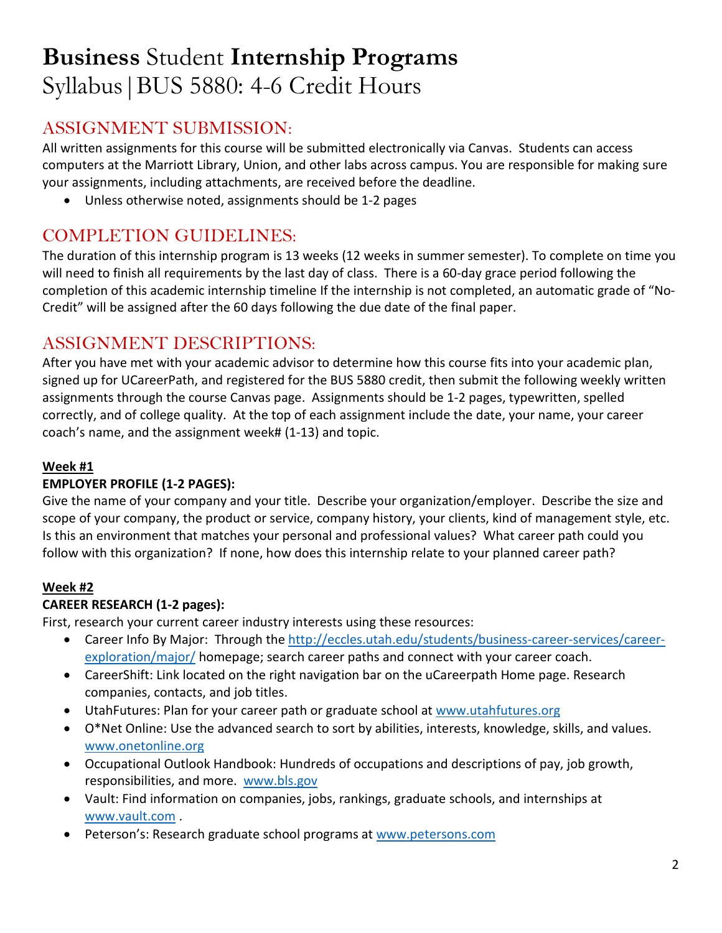# ASSIGNMENT SUBMISSION:

All written assignments for this course will be submitted electronically via Canvas. Students can access computers at the Marriott Library, Union, and other labs across campus. You are responsible for making sure your assignments, including attachments, are received before the deadline.

• Unless otherwise noted, assignments should be 1-2 pages

# COMPLETION GUIDELINES:

The duration of this internship program is 13 weeks (12 weeks in summer semester). To complete on time you will need to finish all requirements by the last day of class. There is a 60-day grace period following the completion of this academic internship timeline If the internship is not completed, an automatic grade of "No-Credit" will be assigned after the 60 days following the due date of the final paper.

# ASSIGNMENT DESCRIPTIONS:

After you have met with your academic advisor to determine how this course fits into your academic plan, signed up for UCareerPath, and registered for the BUS 5880 credit, then submit the following weekly written assignments through the course Canvas page. Assignments should be 1-2 pages, typewritten, spelled correctly, and of college quality. At the top of each assignment include the date, your name, your career coach's name, and the assignment week# (1-13) and topic.

## **Week #1**

### **EMPLOYER PROFILE (1-2 PAGES):**

Give the name of your company and your title. Describe your organization/employer. Describe the size and scope of your company, the product or service, company history, your clients, kind of management style, etc. Is this an environment that matches your personal and professional values? What career path could you follow with this organization? If none, how does this internship relate to your planned career path?

### **Week #2**

### **CAREER RESEARCH (1-2 pages):**

First, research your current career industry interests using these resources:

- Career Info By Major: Through the [http://eccles.utah.edu/students/business-career-services/career](http://eccles.utah.edu/students/business-career-services/career-exploration/major/)[exploration/major/](http://eccles.utah.edu/students/business-career-services/career-exploration/major/) homepage; search career paths and connect with your career coach.
- CareerShift: Link located on the right navigation bar on the uCareerpath Home page. Research companies, contacts, and job titles.
- UtahFutures: Plan for your career path or graduate school a[t www.utahfutures.org](http://www.utahfutures.org/)
- O\*Net Online: Use the advanced search to sort by abilities, interests, knowledge, skills, and values. [www.onetonline.org](http://www.onetonline.org/)
- Occupational Outlook Handbook: Hundreds of occupations and descriptions of pay, job growth, responsibilities, and more. [www.bls.gov](http://www.bls.gov/)
- Vault: Find information on companies, jobs, rankings, graduate schools, and internships at [www.vault.com](http://www.vault.com/) .
- Peterson's: Research graduate school programs at [www.petersons.com](http://www.petersons.com/)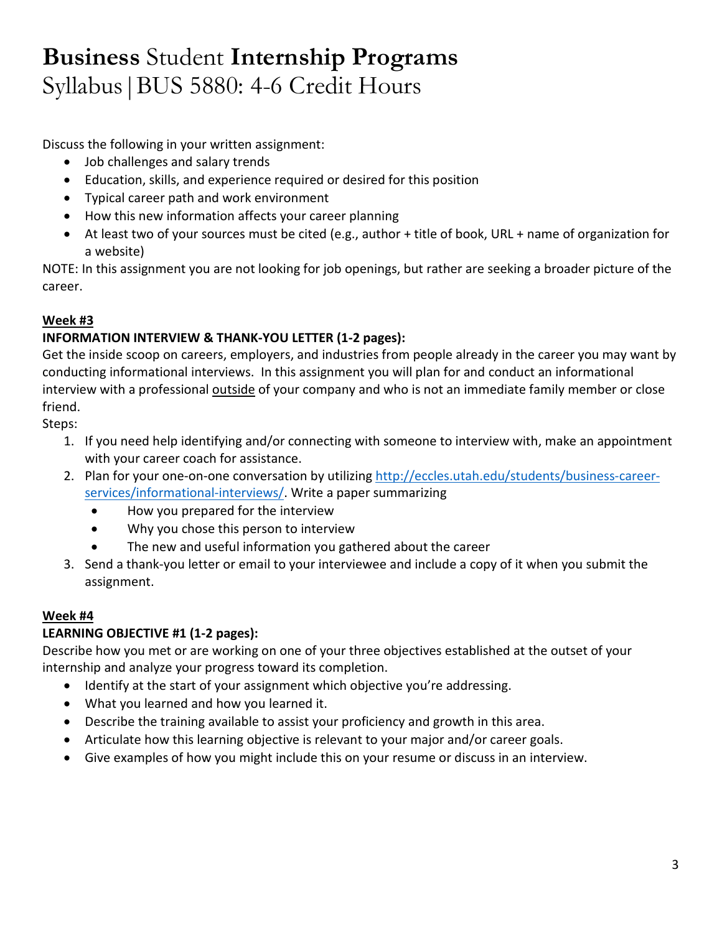Discuss the following in your written assignment:

- Job challenges and salary trends
- Education, skills, and experience required or desired for this position
- Typical career path and work environment
- How this new information affects your career planning
- At least two of your sources must be cited (e.g., author + title of book, URL + name of organization for a website)

NOTE: In this assignment you are not looking for job openings, but rather are seeking a broader picture of the career.

#### **Week #3**

#### **INFORMATION INTERVIEW & THANK-YOU LETTER (1-2 pages):**

Get the inside scoop on careers, employers, and industries from people already in the career you may want by conducting informational interviews. In this assignment you will plan for and conduct an informational interview with a professional outside of your company and who is not an immediate family member or close friend.

Steps:

- 1. If you need help identifying and/or connecting with someone to interview with, make an appointment with your career coach for assistance.
- 2. Plan for your one-on-one conversation by utilizing [http://eccles.utah.edu/students/business-career](http://eccles.utah.edu/students/business-career-services/informational-interviews/)[services/informational-interviews/.](http://eccles.utah.edu/students/business-career-services/informational-interviews/) Write a paper summarizing
	- How you prepared for the interview
	- Why you chose this person to interview
	- The new and useful information you gathered about the career
- 3. Send a thank-you letter or email to your interviewee and include a copy of it when you submit the assignment.

#### **Week #4**

### **LEARNING OBJECTIVE #1 (1-2 pages):**

Describe how you met or are working on one of your three objectives established at the outset of your internship and analyze your progress toward its completion.

- Identify at the start of your assignment which objective you're addressing.
- What you learned and how you learned it.
- Describe the training available to assist your proficiency and growth in this area.
- Articulate how this learning objective is relevant to your major and/or career goals.
- Give examples of how you might include this on your resume or discuss in an interview.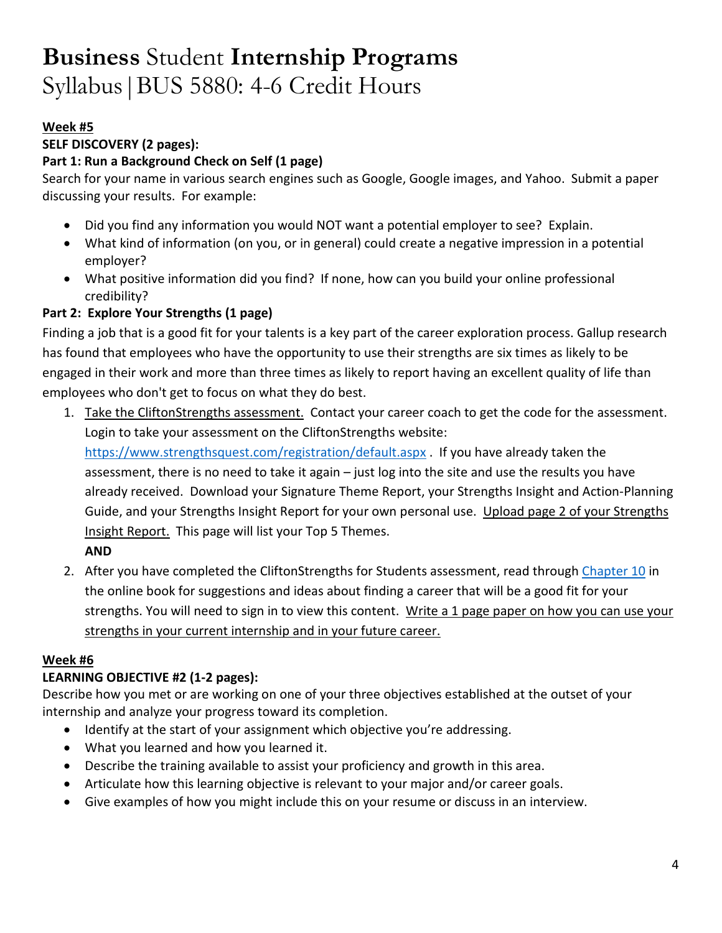#### **Week #5**

#### **SELF DISCOVERY (2 pages):**

#### **Part 1: Run a Background Check on Self (1 page)**

Search for your name in various search engines such as Google, Google images, and Yahoo. Submit a paper discussing your results. For example:

- Did you find any information you would NOT want a potential employer to see? Explain.
- What kind of information (on you, or in general) could create a negative impression in a potential employer?
- What positive information did you find? If none, how can you build your online professional credibility?

### **Part 2: Explore Your Strengths (1 page)**

Finding a job that is a good fit for your talents is a key part of the career exploration process. Gallup research has found that employees who have the opportunity to use their strengths are six times as likely to be engaged in their work and more than three times as likely to report having an excellent quality of life than employees who don't get to focus on what they do best.

1. Take the CliftonStrengths assessment. Contact your career coach to get the code for the assessment. Login to take your assessment on the CliftonStrengths website:

<https://www.strengthsquest.com/registration/default.aspx> . If you have already taken the assessment, there is no need to take it again – just log into the site and use the results you have already received. Download your Signature Theme Report, your Strengths Insight and Action-Planning Guide, and your Strengths Insight Report for your own personal use. Upload page 2 of your Strengths Insight Report. This page will list your Top 5 Themes.

#### **AND**

2. After you have completed the CliftonStrengths for Students assessment, read throug[h Chapter 10](http://www.strengthsquest.com/content/142601/Chapter-Strengths-Career-Planning.aspx) in the online book for suggestions and ideas about finding a career that will be a good fit for your strengths. You will need to sign in to view this content. Write a 1 page paper on how you can use your strengths in your current internship and in your future career.

#### **Week #6**

### **LEARNING OBJECTIVE #2 (1-2 pages):**

Describe how you met or are working on one of your three objectives established at the outset of your internship and analyze your progress toward its completion.

- Identify at the start of your assignment which objective you're addressing.
- What you learned and how you learned it.
- Describe the training available to assist your proficiency and growth in this area.
- Articulate how this learning objective is relevant to your major and/or career goals.
- Give examples of how you might include this on your resume or discuss in an interview.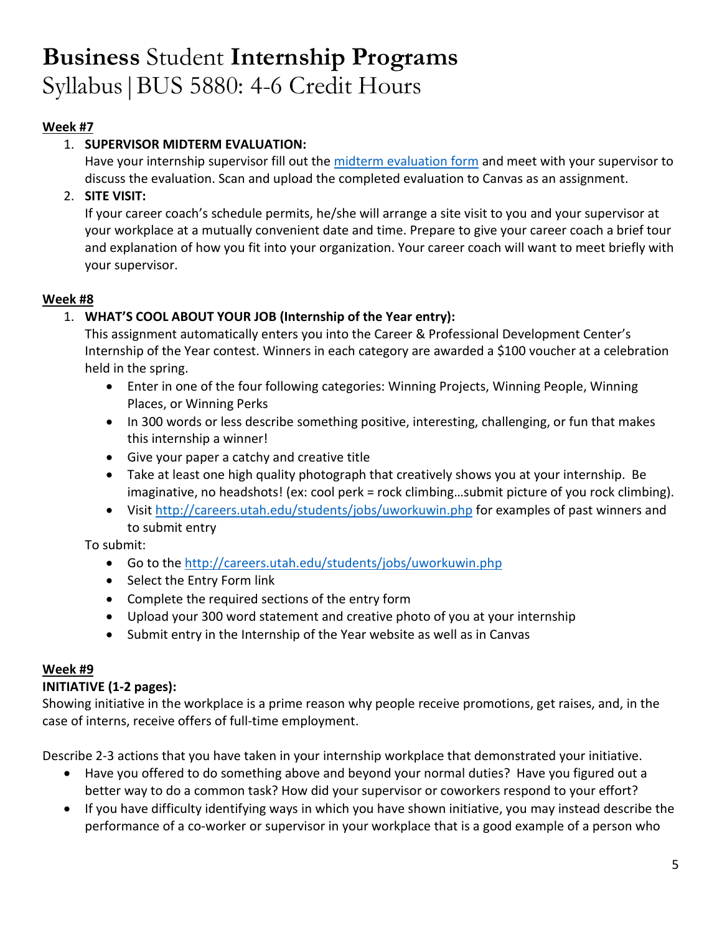### **Week #7**

## 1. **SUPERVISOR MIDTERM EVALUATION:**

Have your internship supervisor fill out the [midterm evaluation form](http://careers.utah.edu/_pdf/csip-cpt/csip-midterm-eval.pdf) and meet with your supervisor to discuss the evaluation. Scan and upload the completed evaluation to Canvas as an assignment.

### 2. **SITE VISIT:**

If your career coach's schedule permits, he/she will arrange a site visit to you and your supervisor at your workplace at a mutually convenient date and time. Prepare to give your career coach a brief tour and explanation of how you fit into your organization. Your career coach will want to meet briefly with your supervisor.

#### **Week #8**

## 1. **WHAT'S COOL ABOUT YOUR JOB (Internship of the Year entry):**

This assignment automatically enters you into the Career & Professional Development Center's Internship of the Year contest. Winners in each category are awarded a \$100 voucher at a celebration held in the spring.

- Enter in one of the four following categories: Winning Projects, Winning People, Winning Places, or Winning Perks
- In 300 words or less describe something positive, interesting, challenging, or fun that makes this internship a winner!
- Give your paper a catchy and creative title
- Take at least one high quality photograph that creatively shows you at your internship. Be imaginative, no headshots! (ex: cool perk = rock climbing...submit picture of you rock climbing).
- Visi[t http://careers.utah.edu/students/jobs/uworkuwin.php](http://careers.utah.edu/students/jobs/uworkuwin.php) for examples of past winners and to submit entry

To submit:

- Go to th[e http://careers.utah.edu/students/jobs/uworkuwin.php](http://careers.utah.edu/students/jobs/uworkuwin.php)
- Select the Entry Form link
- Complete the required sections of the entry form
- Upload your 300 word statement and creative photo of you at your internship
- Submit entry in the Internship of the Year website as well as in Canvas

### **Week #9**

### **INITIATIVE (1-2 pages):**

Showing initiative in the workplace is a prime reason why people receive promotions, get raises, and, in the case of interns, receive offers of full-time employment.

Describe 2-3 actions that you have taken in your internship workplace that demonstrated your initiative.

- Have you offered to do something above and beyond your normal duties? Have you figured out a better way to do a common task? How did your supervisor or coworkers respond to your effort?
- If you have difficulty identifying ways in which you have shown initiative, you may instead describe the performance of a co-worker or supervisor in your workplace that is a good example of a person who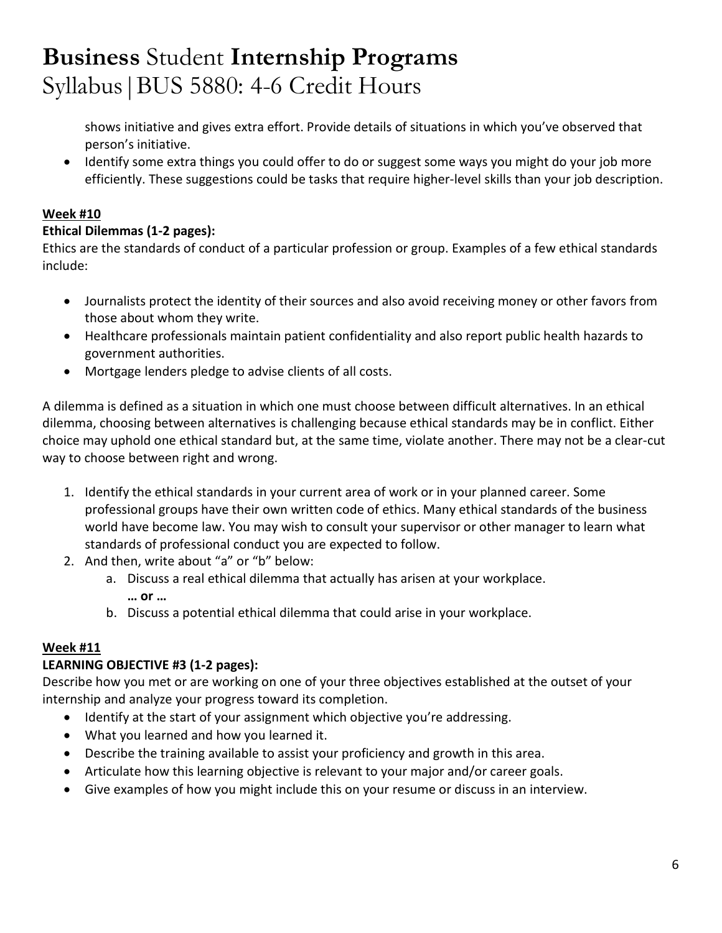shows initiative and gives extra effort. Provide details of situations in which you've observed that person's initiative.

• Identify some extra things you could offer to do or suggest some ways you might do your job more efficiently. These suggestions could be tasks that require higher-level skills than your job description.

## **Week #10**

## **Ethical Dilemmas (1-2 pages):**

Ethics are the standards of conduct of a particular profession or group. Examples of a few ethical standards include:

- Journalists protect the identity of their sources and also avoid receiving money or other favors from those about whom they write.
- Healthcare professionals maintain patient confidentiality and also report public health hazards to government authorities.
- Mortgage lenders pledge to advise clients of all costs.

A dilemma is defined as a situation in which one must choose between difficult alternatives. In an ethical dilemma, choosing between alternatives is challenging because ethical standards may be in conflict. Either choice may uphold one ethical standard but, at the same time, violate another. There may not be a clear-cut way to choose between right and wrong.

- 1. Identify the ethical standards in your current area of work or in your planned career. Some professional groups have their own written code of ethics. Many ethical standards of the business world have become law. You may wish to consult your supervisor or other manager to learn what standards of professional conduct you are expected to follow.
- 2. And then, write about "a" or "b" below:
	- a. Discuss a real ethical dilemma that actually has arisen at your workplace.
		- **… or …**
	- b. Discuss a potential ethical dilemma that could arise in your workplace.

### **Week #11**

## **LEARNING OBJECTIVE #3 (1-2 pages):**

Describe how you met or are working on one of your three objectives established at the outset of your internship and analyze your progress toward its completion.

- Identify at the start of your assignment which objective you're addressing.
- What you learned and how you learned it.
- Describe the training available to assist your proficiency and growth in this area.
- Articulate how this learning objective is relevant to your major and/or career goals.
- Give examples of how you might include this on your resume or discuss in an interview.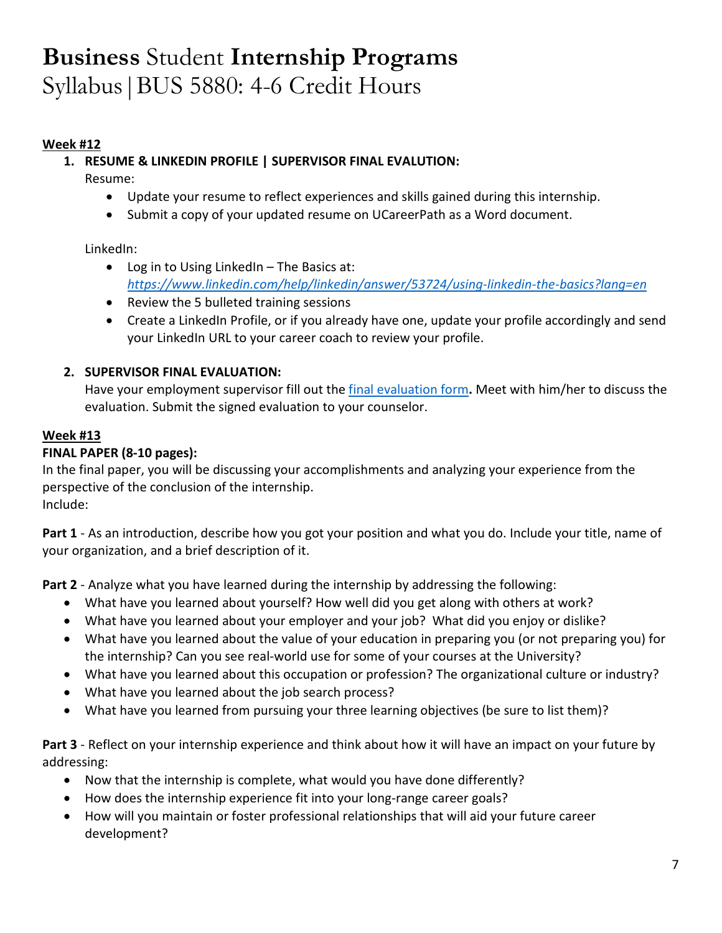#### **Week #12**

#### **1. RESUME & LINKEDIN PROFILE | SUPERVISOR FINAL EVALUTION:**

Resume:

- Update your resume to reflect experiences and skills gained during this internship.
- Submit a copy of your updated resume on UCareerPath as a Word document.

LinkedIn:

- Log in to Using LinkedIn The Basics at: *<https://www.linkedin.com/help/linkedin/answer/53724/using-linkedin-the-basics?lang=en>*
- Review the 5 bulleted training sessions
- Create a LinkedIn Profile, or if you already have one, update your profile accordingly and send your LinkedIn URL to your career coach to review your profile.

#### **2. SUPERVISOR FINAL EVALUATION:**

Have your employment supervisor fill out the [final evaluation form](http://eccles.utah.edu/wp-content/uploads/2016/05/BSIP-Final-Evaluation-Form.pdf)**.** Meet with him/her to discuss the evaluation. Submit the signed evaluation to your counselor.

#### **Week #13**

#### **FINAL PAPER (8-10 pages):**

In the final paper, you will be discussing your accomplishments and analyzing your experience from the perspective of the conclusion of the internship. Include:

**Part 1** - As an introduction, describe how you got your position and what you do. Include your title, name of your organization, and a brief description of it.

**Part 2** - Analyze what you have learned during the internship by addressing the following:

- What have you learned about yourself? How well did you get along with others at work?
- What have you learned about your employer and your job? What did you enjoy or dislike?
- What have you learned about the value of your education in preparing you (or not preparing you) for the internship? Can you see real-world use for some of your courses at the University?
- What have you learned about this occupation or profession? The organizational culture or industry?
- What have you learned about the job search process?
- What have you learned from pursuing your three learning objectives (be sure to list them)?

**Part 3** - Reflect on your internship experience and think about how it will have an impact on your future by addressing:

- Now that the internship is complete, what would you have done differently?
- How does the internship experience fit into your long-range career goals?
- How will you maintain or foster professional relationships that will aid your future career development?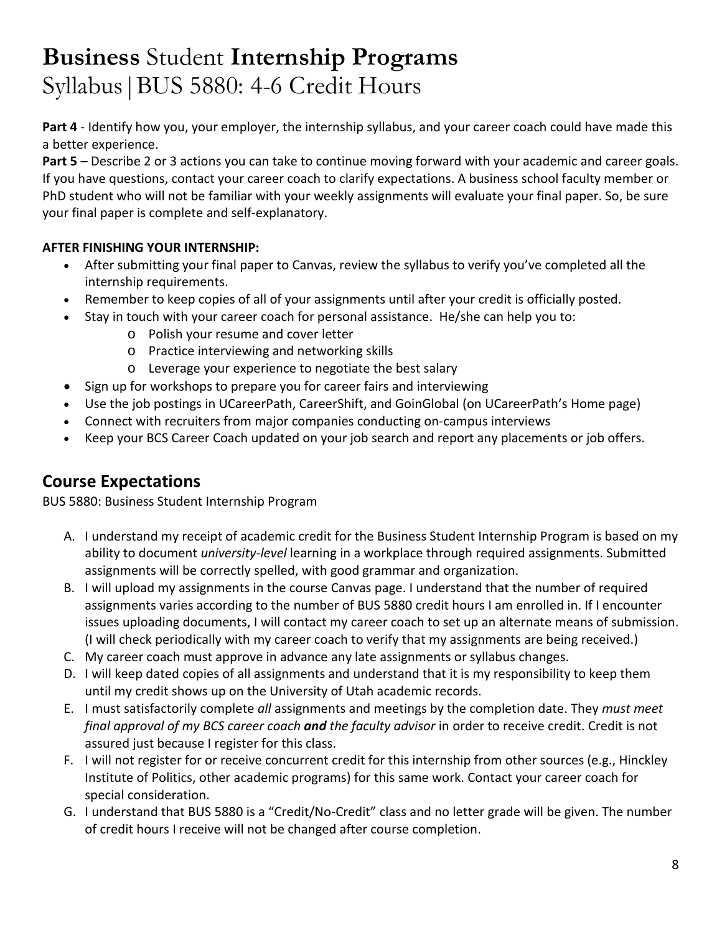**Part 4** - Identify how you, your employer, the internship syllabus, and your career coach could have made this a better experience.

**Part 5** – Describe 2 or 3 actions you can take to continue moving forward with your academic and career goals. If you have questions, contact your career coach to clarify expectations. A business school faculty member or PhD student who will not be familiar with your weekly assignments will evaluate your final paper. So, be sure your final paper is complete and self-explanatory.

### **AFTER FINISHING YOUR INTERNSHIP:**

- After submitting your final paper to Canvas, review the syllabus to verify you've completed all the internship requirements.
- Remember to keep copies of all of your assignments until after your credit is officially posted.
- Stay in touch with your career coach for personal assistance. He/she can help you to:
	- o Polish your resume and cover letter
	- o Practice interviewing and networking skills
	- o Leverage your experience to negotiate the best salary
- Sign up for workshops to prepare you for career fairs and interviewing
- Use the job postings in UCareerPath, CareerShift, and GoinGlobal (on UCareerPath's Home page)
- Connect with recruiters from major companies conducting on-campus interviews
- Keep your BCS Career Coach updated on your job search and report any placements or job offers.

## **Course Expectations**

BUS 5880: Business Student Internship Program

- A. I understand my receipt of academic credit for the Business Student Internship Program is based on my ability to document *university-level* learning in a workplace through required assignments. Submitted assignments will be correctly spelled, with good grammar and organization.
- B. I will upload my assignments in the course Canvas page. I understand that the number of required assignments varies according to the number of BUS 5880 credit hours I am enrolled in. If I encounter issues uploading documents, I will contact my career coach to set up an alternate means of submission. (I will check periodically with my career coach to verify that my assignments are being received.)
- C. My career coach must approve in advance any late assignments or syllabus changes.
- D. I will keep dated copies of all assignments and understand that it is my responsibility to keep them until my credit shows up on the University of Utah academic records.
- E. I must satisfactorily complete *all* assignments and meetings by the completion date. They *must meet final approval of my BCS career coach and the faculty advisor* in order to receive credit. Credit is not assured just because I register for this class.
- F. I will not register for or receive concurrent credit for this internship from other sources (e.g., Hinckley Institute of Politics, other academic programs) for this same work. Contact your career coach for special consideration.
- G. I understand that BUS 5880 is a "Credit/No-Credit" class and no letter grade will be given. The number of credit hours I receive will not be changed after course completion.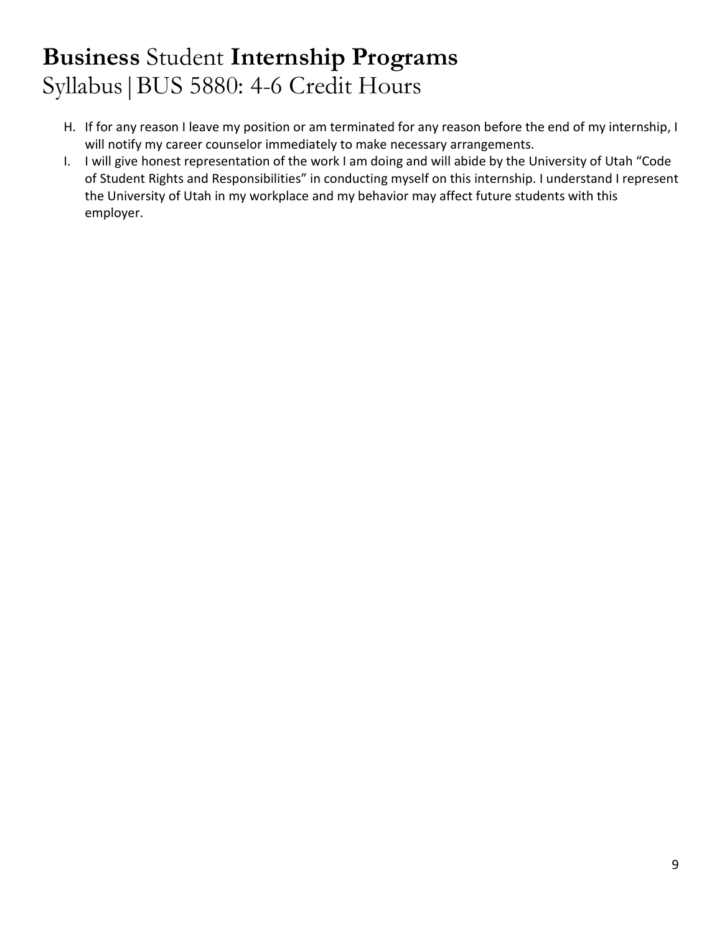- H. If for any reason I leave my position or am terminated for any reason before the end of my internship, I will notify my career counselor immediately to make necessary arrangements.
- I. I will give honest representation of the work I am doing and will abide by the University of Utah "Code of Student Rights and Responsibilities" in conducting myself on this internship. I understand I represent the University of Utah in my workplace and my behavior may affect future students with this employer.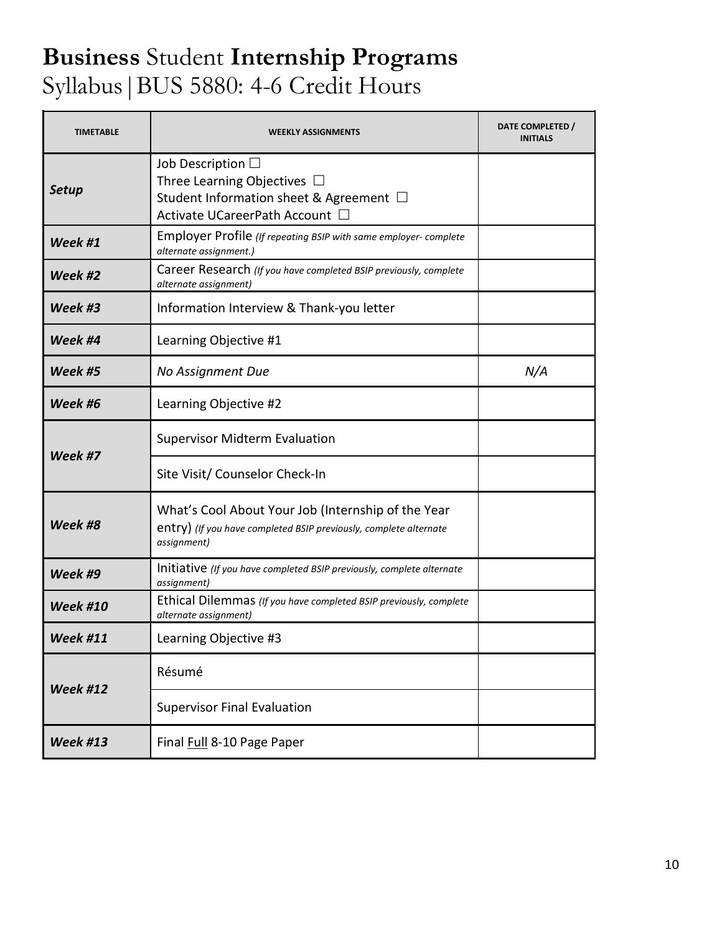| <b>TIMETABLE</b> | <b>WEEKLY ASSIGNMENTS</b>                                                                                                               | DATE COMPLETED /<br><b>INITIALS</b> |
|------------------|-----------------------------------------------------------------------------------------------------------------------------------------|-------------------------------------|
| <b>Setup</b>     | Job Description $\Box$<br>Three Learning Objectives $\Box$<br>Student Information sheet & Agreement □<br>Activate UCareerPath Account □ |                                     |
| Week #1          | Employer Profile (If repeating BSIP with same employer-complete<br>alternate assignment.)                                               |                                     |
| Week #2          | Career Research (If you have completed BSIP previously, complete<br>alternate assignment)                                               |                                     |
| Week #3          | Information Interview & Thank-you letter                                                                                                |                                     |
| Week #4          | Learning Objective #1                                                                                                                   |                                     |
| Week #5          | No Assignment Due                                                                                                                       | N/A                                 |
| Week #6          | Learning Objective #2                                                                                                                   |                                     |
| Week #7          | <b>Supervisor Midterm Evaluation</b>                                                                                                    |                                     |
|                  | Site Visit/ Counselor Check-In                                                                                                          |                                     |
| Week #8          | What's Cool About Your Job (Internship of the Year<br>entry) (If you have completed BSIP previously, complete alternate<br>assignment)  |                                     |
| Week #9          | Initiative (If you have completed BSIP previously, complete alternate<br>assignment)                                                    |                                     |
| <b>Week #10</b>  | Ethical Dilemmas (If you have completed BSIP previously, complete<br>alternate assignment)                                              |                                     |
| <b>Week #11</b>  | Learning Objective #3                                                                                                                   |                                     |
| <b>Week #12</b>  | Résumé                                                                                                                                  |                                     |
|                  | <b>Supervisor Final Evaluation</b>                                                                                                      |                                     |
| <b>Week #13</b>  | Final Full 8-10 Page Paper                                                                                                              |                                     |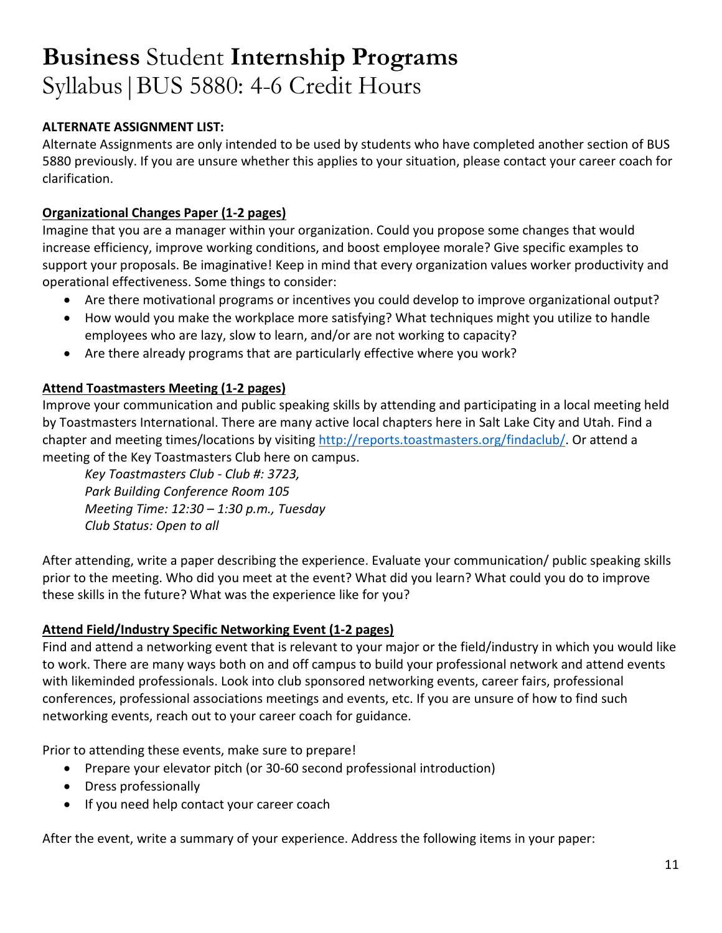#### **ALTERNATE ASSIGNMENT LIST:**

Alternate Assignments are only intended to be used by students who have completed another section of BUS 5880 previously. If you are unsure whether this applies to your situation, please contact your career coach for clarification.

#### **Organizational Changes Paper (1-2 pages)**

Imagine that you are a manager within your organization. Could you propose some changes that would increase efficiency, improve working conditions, and boost employee morale? Give specific examples to support your proposals. Be imaginative! Keep in mind that every organization values worker productivity and operational effectiveness. Some things to consider:

- Are there motivational programs or incentives you could develop to improve organizational output?
- How would you make the workplace more satisfying? What techniques might you utilize to handle employees who are lazy, slow to learn, and/or are not working to capacity?
- Are there already programs that are particularly effective where you work?

#### **Attend Toastmasters Meeting (1-2 pages)**

Improve your communication and public speaking skills by attending and participating in a local meeting held by Toastmasters International. There are many active local chapters here in Salt Lake City and Utah. Find a chapter and meeting times/locations by visiting [http://reports.toastmasters.org/findaclub/.](http://reports.toastmasters.org/findaclub/) Or attend a meeting of the Key Toastmasters Club here on campus.

*Key Toastmasters Club - Club #: 3723, Park Building Conference Room 105 Meeting Time: 12:30 – 1:30 p.m., Tuesday Club Status: Open to all*

After attending, write a paper describing the experience. Evaluate your communication/ public speaking skills prior to the meeting. Who did you meet at the event? What did you learn? What could you do to improve these skills in the future? What was the experience like for you?

#### **Attend Field/Industry Specific Networking Event (1-2 pages)**

Find and attend a networking event that is relevant to your major or the field/industry in which you would like to work. There are many ways both on and off campus to build your professional network and attend events with likeminded professionals. Look into club sponsored networking events, career fairs, professional conferences, professional associations meetings and events, etc. If you are unsure of how to find such networking events, reach out to your career coach for guidance.

Prior to attending these events, make sure to prepare!

- Prepare your elevator pitch (or 30-60 second professional introduction)
- Dress professionally
- If you need help contact your career coach

After the event, write a summary of your experience. Address the following items in your paper: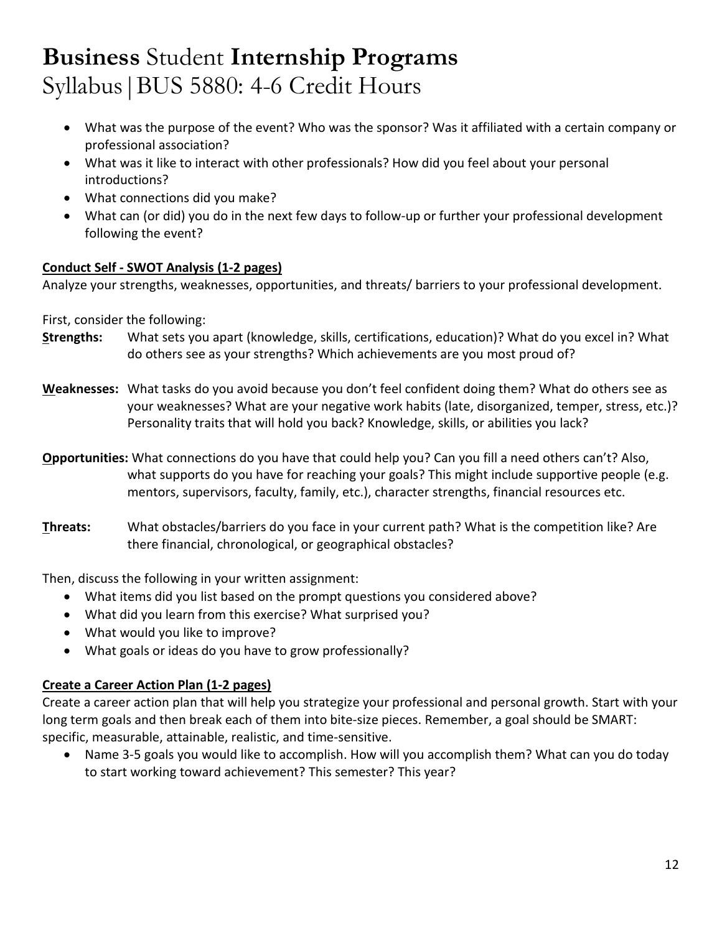- What was the purpose of the event? Who was the sponsor? Was it affiliated with a certain company or professional association?
- What was it like to interact with other professionals? How did you feel about your personal introductions?
- What connections did you make?
- What can (or did) you do in the next few days to follow-up or further your professional development following the event?

#### **Conduct Self - SWOT Analysis (1-2 pages)**

Analyze your strengths, weaknesses, opportunities, and threats/ barriers to your professional development.

First, consider the following:

- **Strengths:** What sets you apart (knowledge, skills, certifications, education)? What do you excel in? What do others see as your strengths? Which achievements are you most proud of?
- **Weaknesses:** What tasks do you avoid because you don't feel confident doing them? What do others see as your weaknesses? What are your negative work habits (late, disorganized, temper, stress, etc.)? Personality traits that will hold you back? Knowledge, skills, or abilities you lack?
- **Opportunities:** What connections do you have that could help you? Can you fill a need others can't? Also, what supports do you have for reaching your goals? This might include supportive people (e.g. mentors, supervisors, faculty, family, etc.), character strengths, financial resources etc.
- **Threats:** What obstacles/barriers do you face in your current path? What is the competition like? Are there financial, chronological, or geographical obstacles?

Then, discuss the following in your written assignment:

- What items did you list based on the prompt questions you considered above?
- What did you learn from this exercise? What surprised you?
- What would you like to improve?
- What goals or ideas do you have to grow professionally?

#### **Create a Career Action Plan (1-2 pages)**

Create a career action plan that will help you strategize your professional and personal growth. Start with your long term goals and then break each of them into bite-size pieces. Remember, a goal should be SMART: specific, measurable, attainable, realistic, and time-sensitive.

• Name 3-5 goals you would like to accomplish. How will you accomplish them? What can you do today to start working toward achievement? This semester? This year?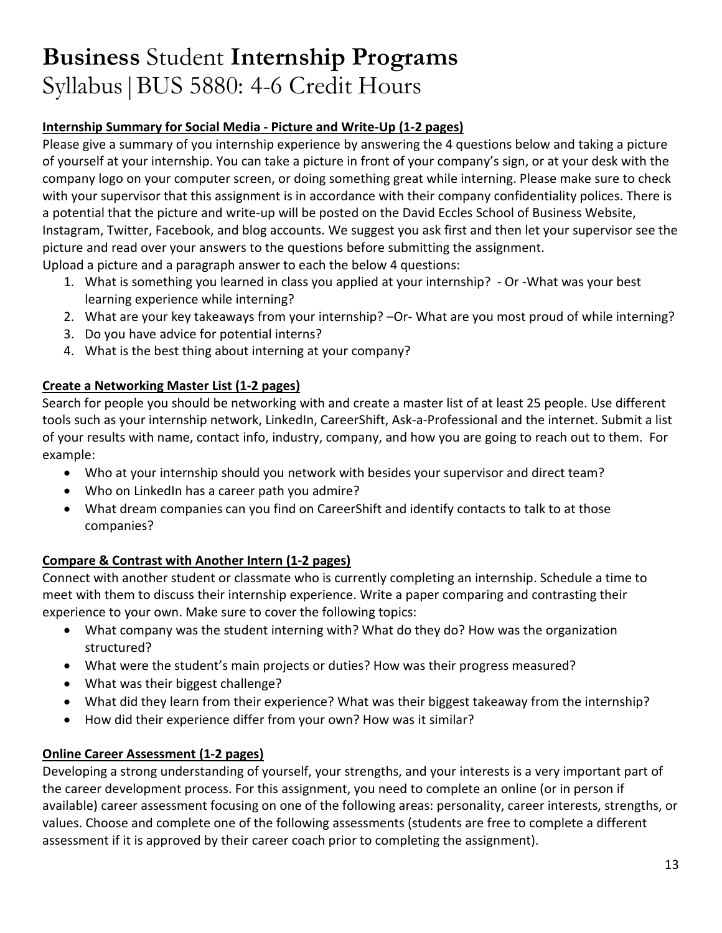#### **Internship Summary for Social Media - Picture and Write-Up (1-2 pages)**

Please give a summary of you internship experience by answering the 4 questions below and taking a picture of yourself at your internship. You can take a picture in front of your company's sign, or at your desk with the company logo on your computer screen, or doing something great while interning. Please make sure to check with your supervisor that this assignment is in accordance with their company confidentiality polices. There is a potential that the picture and write-up will be posted on the David Eccles School of Business Website, Instagram, Twitter, Facebook, and blog accounts. We suggest you ask first and then let your supervisor see the picture and read over your answers to the questions before submitting the assignment.

Upload a picture and a paragraph answer to each the below 4 questions:

- 1. What is something you learned in class you applied at your internship? Or -What was your best learning experience while interning?
- 2. What are your key takeaways from your internship? –Or- What are you most proud of while interning?
- 3. Do you have advice for potential interns?
- 4. What is the best thing about interning at your company?

#### **Create a Networking Master List (1-2 pages)**

Search for people you should be networking with and create a master list of at least 25 people. Use different tools such as your internship network, LinkedIn, CareerShift, Ask-a-Professional and the internet. Submit a list of your results with name, contact info, industry, company, and how you are going to reach out to them. For example:

- Who at your internship should you network with besides your supervisor and direct team?
- Who on LinkedIn has a career path you admire?
- What dream companies can you find on CareerShift and identify contacts to talk to at those companies?

### **Compare & Contrast with Another Intern (1-2 pages)**

Connect with another student or classmate who is currently completing an internship. Schedule a time to meet with them to discuss their internship experience. Write a paper comparing and contrasting their experience to your own. Make sure to cover the following topics:

- What company was the student interning with? What do they do? How was the organization structured?
- What were the student's main projects or duties? How was their progress measured?
- What was their biggest challenge?
- What did they learn from their experience? What was their biggest takeaway from the internship?
- How did their experience differ from your own? How was it similar?

### **Online Career Assessment (1-2 pages)**

Developing a strong understanding of yourself, your strengths, and your interests is a very important part of the career development process. For this assignment, you need to complete an online (or in person if available) career assessment focusing on one of the following areas: personality, career interests, strengths, or values. Choose and complete one of the following assessments (students are free to complete a different assessment if it is approved by their career coach prior to completing the assignment).